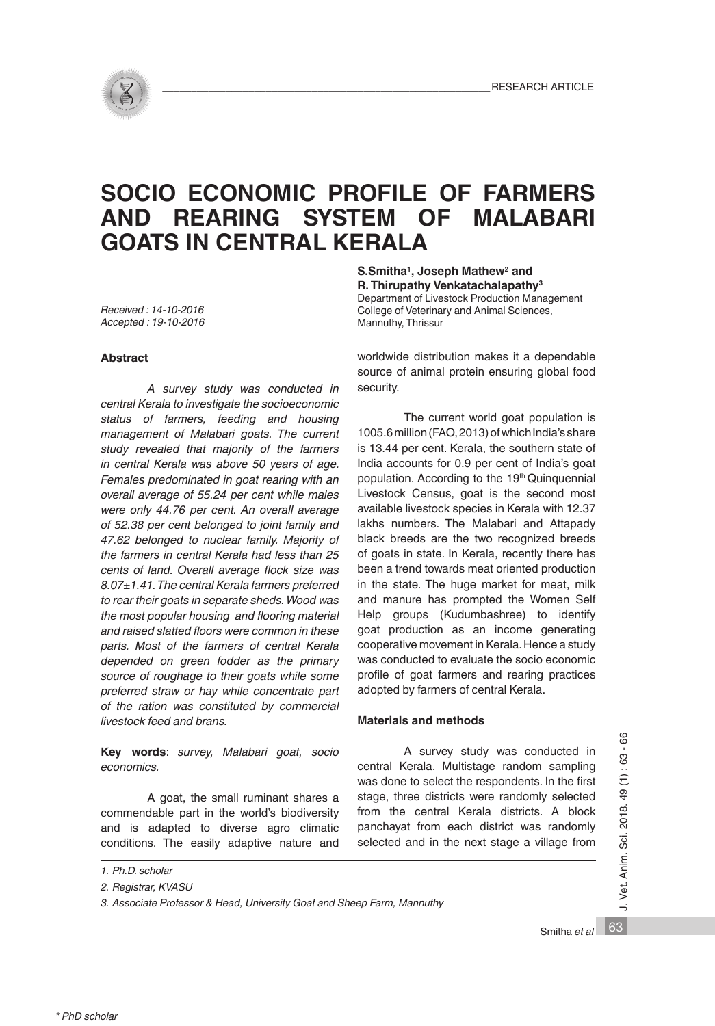# **SOCIO ECONOMIC PROFILE OF FARMERS AND REARING SYSTEM OF GOATS IN CENTRAL KERALA**

*Received : 14-10-2016 Accepted : 19-10-2016*

#### **Abstract**

*A survey study was conducted in central Kerala to investigate the socioeconomic status of farmers, feeding and housing management of Malabari goats. The current study revealed that majority of the farmers in central Kerala was above 50 years of age. Females predominated in goat rearing with an overall average of 55.24 per cent while males were only 44.76 per cent. An overall average of 52.38 per cent belonged to joint family and 47.62 belonged to nuclear family. Majority of the farmers in central Kerala had less than 25 cents of land. Overall average flock size was 8.07±1.41. The central Kerala farmers preferred to rear their goats in separate sheds. Wood was the most popular housing and flooring material and raised slatted floors were common in these parts. Most of the farmers of central Kerala depended on green fodder as the primary source of roughage to their goats while some preferred straw or hay while concentrate part of the ration was constituted by commercial livestock feed and brans.* 

**Key words**: *survey, Malabari goat, socio economics.*

A goat, the small ruminant shares a commendable part in the world's biodiversity and is adapted to diverse agro climatic conditions. The easily adaptive nature and **S.Smitha1, Joseph Mathew2 and R. Thirupathy Venkatachalapathy3**

Department of Livestock Production Management College of Veterinary and Animal Sciences, Mannuthy, Thrissur

worldwide distribution makes it a dependable source of animal protein ensuring global food security.

The current world goat population is 1005.6 million (FAO, 2013) of which India's share is 13.44 per cent. Kerala, the southern state of India accounts for 0.9 per cent of India's goat population. According to the 19<sup>th</sup> Quinquennial Livestock Census, goat is the second most available livestock species in Kerala with 12.37 lakhs numbers. The Malabari and Attapady black breeds are the two recognized breeds of goats in state. In Kerala, recently there has been a trend towards meat oriented production in the state. The huge market for meat, milk and manure has prompted the Women Self Help groups (Kudumbashree) to identify goat production as an income generating cooperative movement in Kerala. Hence a study was conducted to evaluate the socio economic profile of goat farmers and rearing practices adopted by farmers of central Kerala.

## **Materials and methods**

A survey study was conducted in central Kerala. Multistage random sampling was done to select the respondents. In the first stage, three districts were randomly selected from the central Kerala districts. A block panchayat from each district was randomly selected and in the next stage a village from

J. Vet. Anim. Sci. 2018. 49 (1): 63 - 66 63 J. Vet. Anim. Sci. 2018. 49 (1) : 63 - 66

*<sup>1.</sup> Ph.D. scholar*

*<sup>2.</sup> Registrar, KVASU*

*<sup>3.</sup> Associate Professor & Head, University Goat and Sheep Farm, Mannuthy*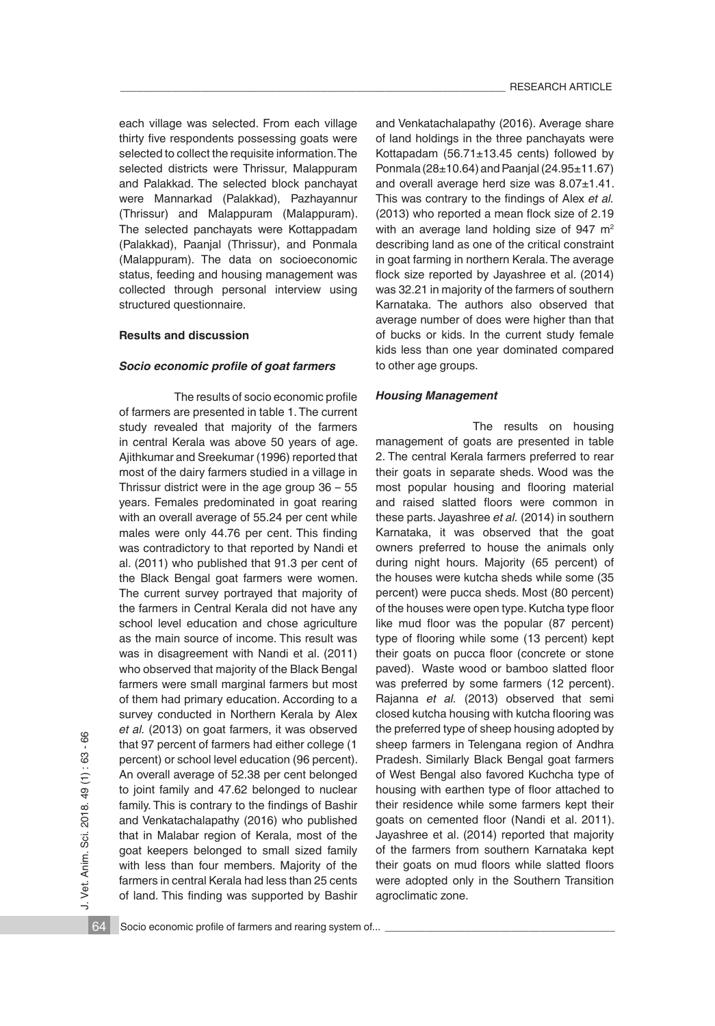each village was selected. From each village thirty five respondents possessing goats were selected to collect the requisite information. The selected districts were Thrissur, Malappuram and Palakkad. The selected block panchayat were Mannarkad (Palakkad), Pazhayannur (Thrissur) and Malappuram (Malappuram). The selected panchayats were Kottappadam (Palakkad), Paanjal (Thrissur), and Ponmala (Malappuram). The data on socioeconomic status, feeding and housing management was collected through personal interview using structured questionnaire.

### **Results and discussion**

#### *Socio economic profile of goat farmers*

The results of socio economic profile of farmers are presented in table 1. The current study revealed that majority of the farmers in central Kerala was above 50 years of age. Ajithkumar and Sreekumar (1996) reported that most of the dairy farmers studied in a village in Thrissur district were in the age group 36 – 55 years. Females predominated in goat rearing with an overall average of 55.24 per cent while males were only 44.76 per cent. This finding was contradictory to that reported by Nandi et al. (2011) who published that 91.3 per cent of the Black Bengal goat farmers were women. The current survey portrayed that majority of the farmers in Central Kerala did not have any school level education and chose agriculture as the main source of income. This result was was in disagreement with Nandi et al. (2011) who observed that majority of the Black Bengal farmers were small marginal farmers but most of them had primary education. According to a survey conducted in Northern Kerala by Alex *et al.* (2013) on goat farmers, it was observed that 97 percent of farmers had either college (1 percent) or school level education (96 percent). An overall average of 52.38 per cent belonged to joint family and 47.62 belonged to nuclear family. This is contrary to the findings of Bashir and Venkatachalapathy (2016) who published that in Malabar region of Kerala, most of the goat keepers belonged to small sized family with less than four members. Majority of the farmers in central Kerala had less than 25 cents of land. This finding was supported by Bashir and Venkatachalapathy (2016). Average share of land holdings in the three panchayats were Kottapadam (56.71±13.45 cents) followed by Ponmala (28±10.64) and Paanjal (24.95±11.67) and overall average herd size was 8.07±1.41. This was contrary to the findings of Alex *et al.* (2013) who reported a mean flock size of 2.19 with an average land holding size of 947 m<sup>2</sup> describing land as one of the critical constraint in goat farming in northern Kerala. The average flock size reported by Jayashree et al. (2014) was 32.21 in majority of the farmers of southern Karnataka. The authors also observed that average number of does were higher than that of bucks or kids. In the current study female kids less than one year dominated compared to other age groups.

#### *Housing Management*

The results on housing management of goats are presented in table 2. The central Kerala farmers preferred to rear their goats in separate sheds. Wood was the most popular housing and flooring material and raised slatted floors were common in these parts. Jayashree *et al.* (2014) in southern Karnataka, it was observed that the goat owners preferred to house the animals only during night hours. Majority (65 percent) of the houses were kutcha sheds while some (35 percent) were pucca sheds. Most (80 percent) of the houses were open type. Kutcha type floor like mud floor was the popular (87 percent) type of flooring while some (13 percent) kept their goats on pucca floor (concrete or stone paved). Waste wood or bamboo slatted floor was preferred by some farmers (12 percent). Rajanna *et al.* (2013) observed that semi closed kutcha housing with kutcha flooring was the preferred type of sheep housing adopted by sheep farmers in Telengana region of Andhra Pradesh. Similarly Black Bengal goat farmers of West Bengal also favored Kuchcha type of housing with earthen type of floor attached to their residence while some farmers kept their goats on cemented floor (Nandi et al. 2011). Jayashree et al. (2014) reported that majority of the farmers from southern Karnataka kept their goats on mud floors while slatted floors were adopted only in the Southern Transition agroclimatic zone.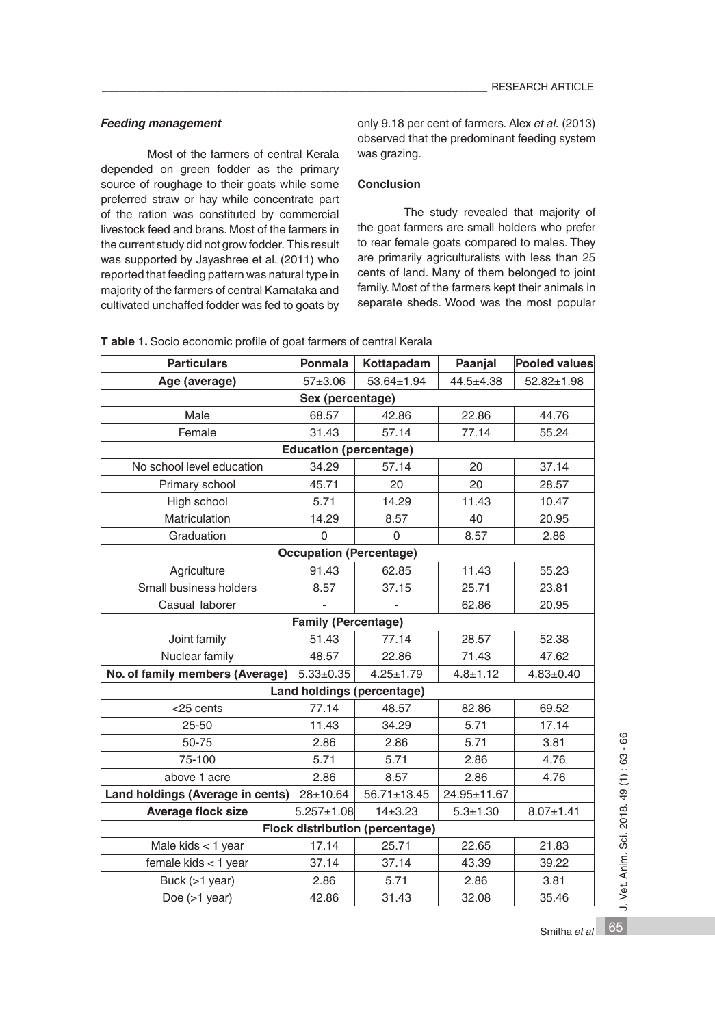## *Feeding management*

Most of the farmers of central Kerala depended on green fodder as the primary source of roughage to their goats while some preferred straw or hay while concentrate part of the ration was constituted by commercial livestock feed and brans. Most of the farmers in the current study did not grow fodder. This result was supported by Jayashree et al. (2011) who reported that feeding pattern was natural type in majority of the farmers of central Karnataka and cultivated unchaffed fodder was fed to goats by

only 9.18 per cent of farmers. Alex *et al.* (2013) observed that the predominant feeding system was grazing.

## **Conclusion**

The study revealed that majority of the goat farmers are small holders who prefer to rear female goats compared to males. They are primarily agriculturalists with less than 25 cents of land. Many of them belonged to joint family. Most of the farmers kept their animals in separate sheds. Wood was the most popular

| <b>Particulars</b>                     | Ponmala         | Kottapadam      | Paanjal        | <b>Pooled values</b> |  |  |  |
|----------------------------------------|-----------------|-----------------|----------------|----------------------|--|--|--|
| Age (average)                          | $57 + 3.06$     | 53.64±1.94      | $44.5 + 4.38$  | 52.82±1.98           |  |  |  |
| Sex (percentage)                       |                 |                 |                |                      |  |  |  |
| Male                                   | 68.57           | 42.86           | 22.86          | 44.76                |  |  |  |
| Female                                 | 31.43           | 57.14           | 77.14          | 55.24                |  |  |  |
| <b>Education (percentage)</b>          |                 |                 |                |                      |  |  |  |
| No school level education              | 34.29           | 57.14           | 20             | 37.14                |  |  |  |
| Primary school                         | 45.71           | 20              | 20             | 28.57                |  |  |  |
| High school                            | 5.71            | 14.29           | 11.43          | 10.47                |  |  |  |
| Matriculation                          | 14.29           | 8.57            | 40             | 20.95                |  |  |  |
| Graduation                             | $\Omega$        | $\Omega$        | 8.57           | 2.86                 |  |  |  |
| <b>Occupation (Percentage)</b>         |                 |                 |                |                      |  |  |  |
| Agriculture                            | 91.43           | 62.85           | 11.43          | 55.23                |  |  |  |
| Small business holders                 | 8.57            | 37.15           | 25.71          | 23.81                |  |  |  |
| Casual laborer                         |                 |                 | 62.86          | 20.95                |  |  |  |
| <b>Family (Percentage)</b>             |                 |                 |                |                      |  |  |  |
| Joint family                           | 51.43           | 77.14           | 28.57          | 52.38                |  |  |  |
| Nuclear family                         | 48.57           | 22.86           | 71.43          | 47.62                |  |  |  |
| No. of family members (Average)        | $5.33 \pm 0.35$ | $4.25 \pm 1.79$ | $4.8 \pm 1.12$ | $4.83 \pm 0.40$      |  |  |  |
| Land holdings (percentage)             |                 |                 |                |                      |  |  |  |
| $<$ 25 cents                           | 77.14           | 48.57           | 82.86          | 69.52                |  |  |  |
| $25 - 50$                              | 11.43           | 34.29           | 5.71           | 17.14                |  |  |  |
| 50-75                                  | 2.86            | 2.86            | 5.71           | 3.81                 |  |  |  |
| 75-100                                 | 5.71            | 5.71            | 2.86           | 4.76                 |  |  |  |
| above 1 acre                           | 2.86            | 8.57            | 2.86           | 4.76                 |  |  |  |
| Land holdings (Average in cents)       | $28 + 10.64$    | 56.71±13.45     | 24.95±11.67    |                      |  |  |  |
| <b>Average flock size</b>              | $5.257 + 1.08$  | $14 + 3.23$     | $5.3 + 1.30$   | $8.07 \pm 1.41$      |  |  |  |
| <b>Flock distribution (percentage)</b> |                 |                 |                |                      |  |  |  |
| Male kids < 1 year                     | 17.14           | 25.71           | 22.65          | 21.83                |  |  |  |
| female kids < 1 year                   | 37.14           | 37.14           | 43.39          | 39.22                |  |  |  |
| Buck (>1 year)                         | 2.86            | 5.71            | 2.86           | 3.81                 |  |  |  |
| Doe $(>1$ year)                        | 42.86           | 31.43           | 32.08          | 35.46                |  |  |  |

**T able 1.** Socio economic profile of goat farmers of central Kerala